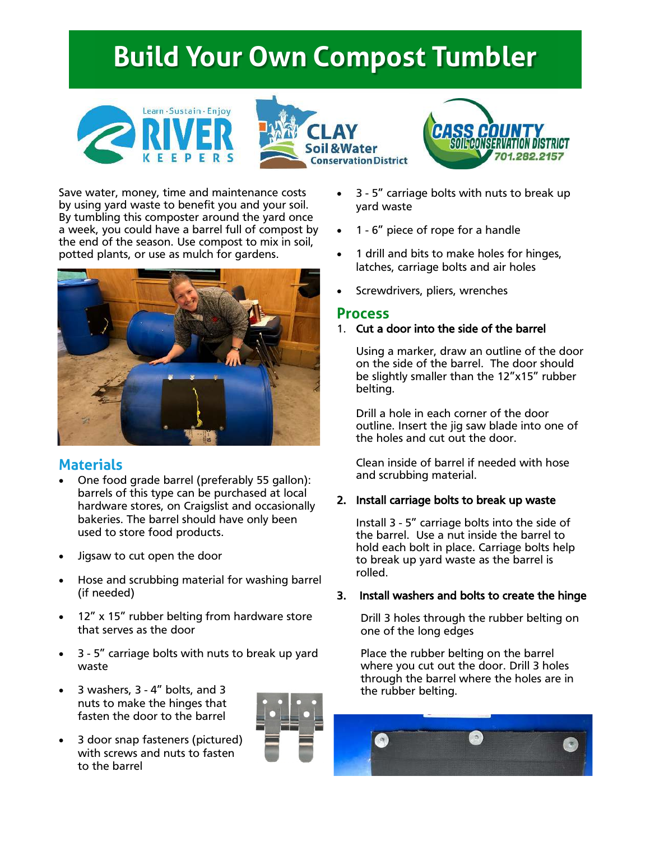# **Build Your Own Compost Tumbler**







Save water, money, time and maintenance costs by using yard waste to benefit you and your soil. By tumbling this composter around the yard once a week, you could have a barrel full of compost by the end of the season. Use compost to mix in soil, potted plants, or use as mulch for gardens.



# **Materials**

- One food grade barrel (preferably 55 gallon): barrels of this type can be purchased at local hardware stores, on Craigslist and occasionally bakeries. The barrel should have only been used to store food products.
- Jigsaw to cut open the door
- Hose and scrubbing material for washing barrel (if needed)
- 12" x 15" rubber belting from hardware store that serves as the door
- 3 5" carriage bolts with nuts to break up yard waste
- 3 washers, 3 4" bolts, and 3 nuts to make the hinges that fasten the door to the barrel
- 3 door snap fasteners (pictured) with screws and nuts to fasten to the barrel



- 3 5" carriage bolts with nuts to break up yard waste
- 1 6" piece of rope for a handle
- 1 drill and bits to make holes for hinges, latches, carriage bolts and air holes
- Screwdrivers, pliers, wrenches

# **Process**

## 1. Cut a door into the side of the barrel

Using a marker, draw an outline of the door on the side of the barrel. The door should be slightly smaller than the 12"x15" rubber belting.

Drill a hole in each corner of the door outline. Insert the jig saw blade into one of the holes and cut out the door.

Clean inside of barrel if needed with hose and scrubbing material.

# 2. Install carriage bolts to break up waste

Install 3 - 5" carriage bolts into the side of the barrel. Use a nut inside the barrel to hold each bolt in place. Carriage bolts help to break up yard waste as the barrel is rolled.

# 3. Install washers and bolts to create the hinge

Drill 3 holes through the rubber belting on one of the long edges

Place the rubber belting on the barrel where you cut out the door. Drill 3 holes through the barrel where the holes are in the rubber belting.